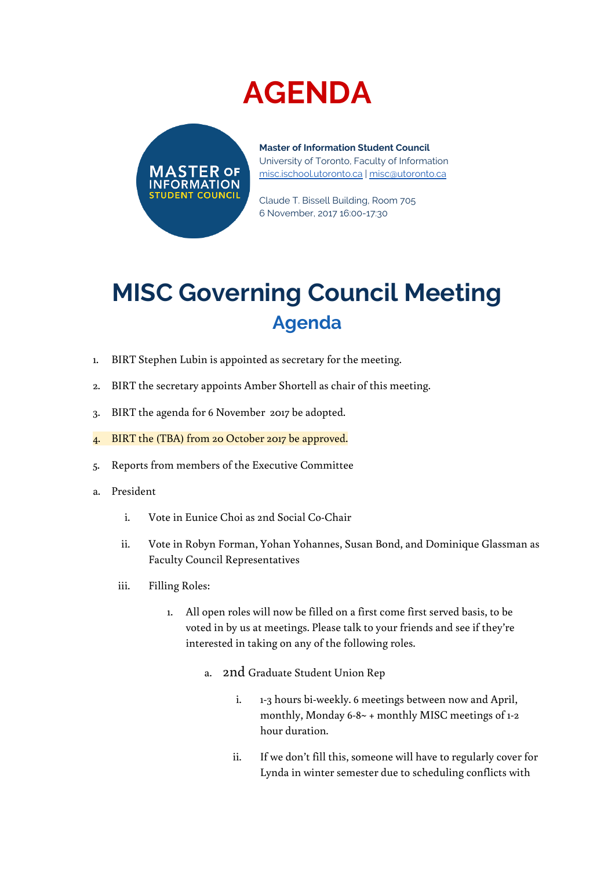## **AGENDA**



**Master of Information Student Council** University of Toronto, Faculty of Information [misc.ischool.utoronto.ca](http://misc.ischool.utoronto.ca/) | [misc@utoronto.ca](mailto:misc@utoronto.ca)

Claude T. Bissell Building, Room 705 6 November, 2017 16:00-17:30

## **MISC Governing Council Meeting Agenda**

- 1. BIRT Stephen Lubin is appointed as secretary for the meeting.
- 2. BIRT the secretary appoints Amber Shortell as chair of this meeting.
- 3. BIRT the agenda for 6 November 2017 be adopted.
- 4. BIRT the (TBA) from 20 October 2017 be approved.
- 5. Reports from members of the Executive Committee
- a. President
	- i. Vote in Eunice Choi as 2nd Social Co-Chair
	- ii. Vote in Robyn Forman, Yohan Yohannes, Susan Bond, and Dominique Glassman as Faculty Council Representatives
	- iii. Filling Roles:
		- 1. All open roles will now be filled on a first come first served basis, to be voted in by us at meetings. Please talk to your friends and see if they're interested in taking on any of the following roles.
			- a. 2nd Graduate Student Union Rep
				- i. 1-3 hours bi-weekly. 6 meetings between now and April, monthly, Monday 6-8~ + monthly MISC meetings of 1-2 hour duration.
				- ii. If we don't fill this, someone will have to regularly cover for Lynda in winter semester due to scheduling conflicts with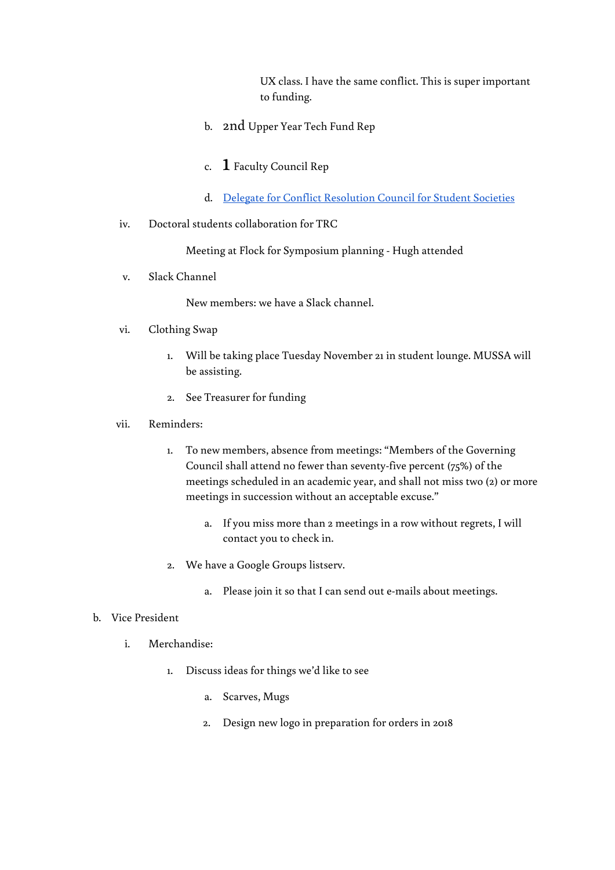UX class. I have the same conflict. This is super important to funding.

- b. 2nd Upper Year Tech Fund Rep
- c.  $\;{\bf 1}\;$  Faculty Council Rep
- d. Delegate for Conflict [Resolution](https://drive.google.com/drive/folders/0B19I8tTQ7CTsaWh4NHBZLXZZYm8) Council for Student Societies
- iv. Doctoral students collaboration for TRC

Meeting at Flock for Symposium planning - Hugh attended

v. Slack Channel

New members: we have a Slack channel.

## vi. Clothing Swap

- 1. Will be taking place Tuesday November 21 in student lounge. MUSSA will be assisting.
- 2. See Treasurer for funding
- vii. Reminders:
	- 1. To new members, absence from meetings: "Members of the Governing Council shall attend no fewer than seventy-five percent (75%) of the meetings scheduled in an academic year, and shall not miss two (2) or more meetings in succession without an acceptable excuse."
		- a. If you miss more than 2 meetings in a row without regrets, I will contact you to check in.
	- 2. We have a Google Groups listserv.
		- a. Please join it so that I can send out e-mails about meetings.

## b. Vice President

- i. Merchandise:
	- 1. Discuss ideas for things we'd like to see
		- a. Scarves, Mugs
		- 2. Design new logo in preparation for orders in 2018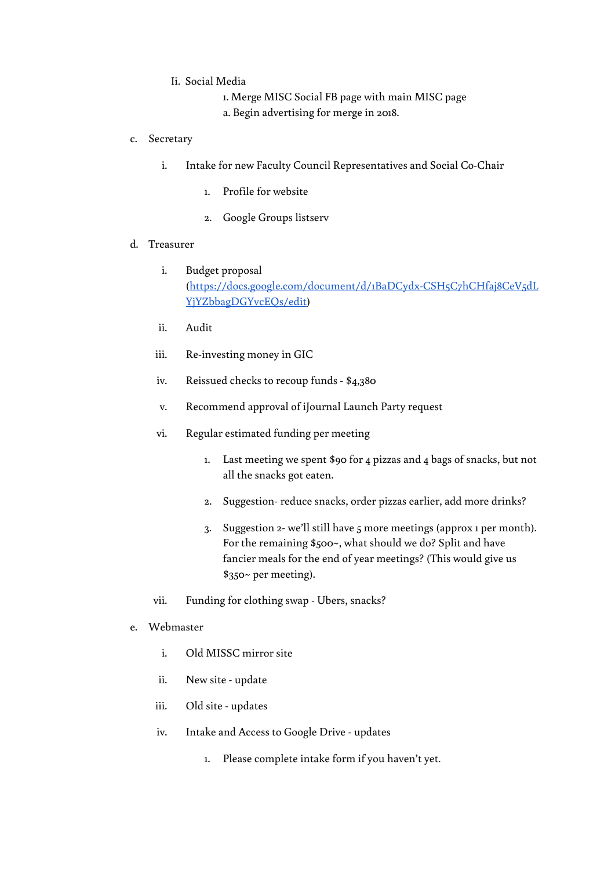- Ii. Social Media
	- 1. Merge MISC Social FB page with main MISC page a. Begin advertising for merge in 2018.
- c. Secretary
	- i. Intake for new Faculty Council Representatives and Social Co-Chair
		- 1. Profile for website
		- 2. Google Groups listserv
- d. Treasurer
	- i. Budget proposal ([https://docs.google.com/document/d/1BaDCydx-CSH5C7hCHfaj8CeV5dL](https://docs.google.com/document/d/1BaDCydx-CSH5C7hCHfaj8CeV5dLYjYZbbagDGYvcEQs/edit) [YjYZbbagDGYvcEQs/edit](https://docs.google.com/document/d/1BaDCydx-CSH5C7hCHfaj8CeV5dLYjYZbbagDGYvcEQs/edit))
	- ii. Audit
	- iii. Re-investing money in GIC
	- iv. Reissued checks to recoup funds \$4,380
	- v. Recommend approval of iJournal Launch Party request
	- vi. Regular estimated funding per meeting
		- 1. Last meeting we spent \$90 for 4 pizzas and 4 bags of snacks, but not all the snacks got eaten.
		- 2. Suggestion- reduce snacks, order pizzas earlier, add more drinks?
		- 3. Suggestion 2- we'll still have 5 more meetings (approx 1 per month). For the remaining \$500~, what should we do? Split and have fancier meals for the end of year meetings? (This would give us \$350~ per meeting).
	- vii. Funding for clothing swap Ubers, snacks?
- e. Webmaster
	- i. Old MISSC mirror site
	- ii. New site update
	- iii. Old site updates
	- iv. Intake and Access to Google Drive updates
		- 1. Please complete intake form if you haven't yet.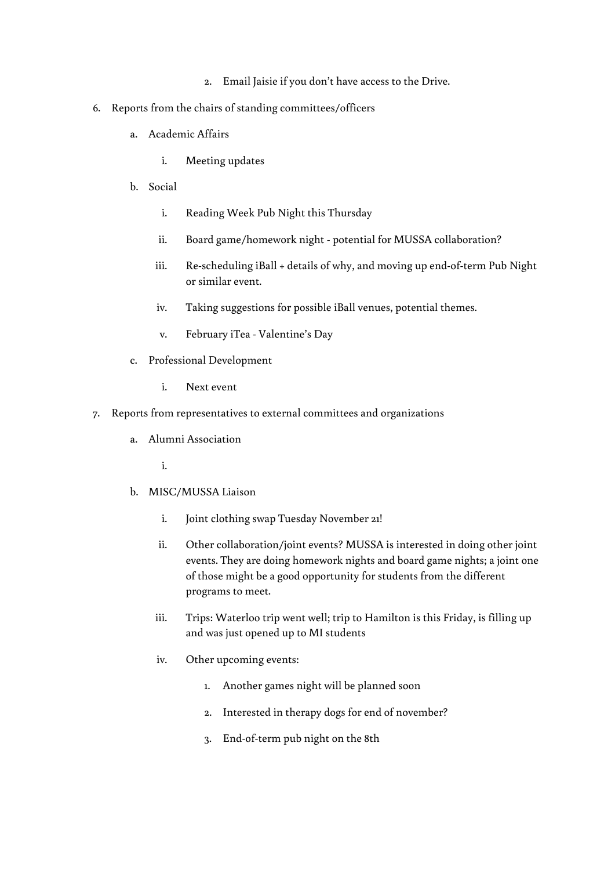- 2. Email Jaisie if you don't have access to the Drive.
- 6. Reports from the chairs of standing committees/officers
	- a. Academic Affairs
		- i. Meeting updates
	- b. Social
		- i. Reading Week Pub Night this Thursday
		- ii. Board game/homework night potential for MUSSA collaboration?
		- iii. Re-scheduling iBall + details of why, and moving up end-of-term Pub Night or similar event.
		- iv. Taking suggestions for possible iBall venues, potential themes.
		- v. February iTea Valentine's Day
	- c. Professional Development
		- i. Next event
- 7. Reports from representatives to external committees and organizations
	- a. Alumni Association

i.

- b. MISC/MUSSA Liaison
	- i. Joint clothing swap Tuesday November 21!
	- ii. Other collaboration/joint events? MUSSA is interested in doing other joint events. They are doing homework nights and board game nights; a joint one of those might be a good opportunity for students from the different programs to meet.
	- iii. Trips: Waterloo trip went well; trip to Hamilton is this Friday, is filling up and was just opened up to MI students
	- iv. Other upcoming events:
		- 1. Another games night will be planned soon
		- 2. Interested in therapy dogs for end of november?
		- 3. End-of-term pub night on the 8th